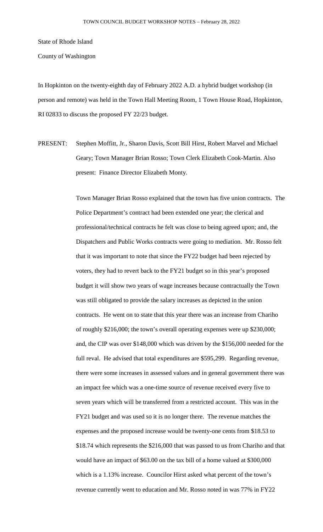State of Rhode Island

County of Washington

In Hopkinton on the twenty-eighth day of February 2022 A.D. a hybrid budget workshop (in person and remote) was held in the Town Hall Meeting Room, 1 Town House Road, Hopkinton, RI 02833 to discuss the proposed FY 22/23 budget.

PRESENT: Stephen Moffitt, Jr., Sharon Davis, Scott Bill Hirst, Robert Marvel and Michael Geary; Town Manager Brian Rosso; Town Clerk Elizabeth Cook-Martin. Also present: Finance Director Elizabeth Monty.

> Town Manager Brian Rosso explained that the town has five union contracts. The Police Department's contract had been extended one year; the clerical and professional/technical contracts he felt was close to being agreed upon; and, the Dispatchers and Public Works contracts were going to mediation. Mr. Rosso felt that it was important to note that since the FY22 budget had been rejected by voters, they had to revert back to the FY21 budget so in this year's proposed budget it will show two years of wage increases because contractually the Town was still obligated to provide the salary increases as depicted in the union contracts. He went on to state that this year there was an increase from Chariho of roughly \$216,000; the town's overall operating expenses were up \$230,000; and, the CIP was over \$148,000 which was driven by the \$156,000 needed for the full reval. He advised that total expenditures are \$595,299. Regarding revenue, there were some increases in assessed values and in general government there was an impact fee which was a one-time source of revenue received every five to seven years which will be transferred from a restricted account. This was in the FY21 budget and was used so it is no longer there. The revenue matches the expenses and the proposed increase would be twenty-one cents from \$18.53 to \$18.74 which represents the \$216,000 that was passed to us from Chariho and that would have an impact of \$63.00 on the tax bill of a home valued at \$300,000 which is a 1.13% increase. Councilor Hirst asked what percent of the town's revenue currently went to education and Mr. Rosso noted in was 77% in FY22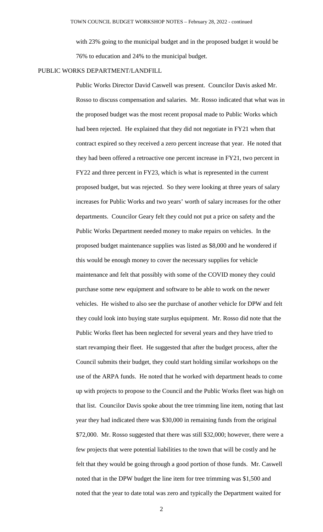with 23% going to the municipal budget and in the proposed budget it would be 76% to education and 24% to the municipal budget.

### PUBLIC WORKS DEPARTMENT/LANDFILL

Public Works Director David Caswell was present. Councilor Davis asked Mr. Rosso to discuss compensation and salaries. Mr. Rosso indicated that what was in the proposed budget was the most recent proposal made to Public Works which had been rejected. He explained that they did not negotiate in FY21 when that contract expired so they received a zero percent increase that year. He noted that they had been offered a retroactive one percent increase in FY21, two percent in FY22 and three percent in FY23, which is what is represented in the current proposed budget, but was rejected. So they were looking at three years of salary increases for Public Works and two years' worth of salary increases for the other departments. Councilor Geary felt they could not put a price on safety and the Public Works Department needed money to make repairs on vehicles. In the proposed budget maintenance supplies was listed as \$8,000 and he wondered if this would be enough money to cover the necessary supplies for vehicle maintenance and felt that possibly with some of the COVID money they could purchase some new equipment and software to be able to work on the newer vehicles. He wished to also see the purchase of another vehicle for DPW and felt they could look into buying state surplus equipment. Mr. Rosso did note that the Public Works fleet has been neglected for several years and they have tried to start revamping their fleet. He suggested that after the budget process, after the Council submits their budget, they could start holding similar workshops on the use of the ARPA funds. He noted that he worked with department heads to come up with projects to propose to the Council and the Public Works fleet was high on that list. Councilor Davis spoke about the tree trimming line item, noting that last year they had indicated there was \$30,000 in remaining funds from the original \$72,000. Mr. Rosso suggested that there was still \$32,000; however, there were a few projects that were potential liabilities to the town that will be costly and he felt that they would be going through a good portion of those funds. Mr. Caswell noted that in the DPW budget the line item for tree trimming was \$1,500 and noted that the year to date total was zero and typically the Department waited for

2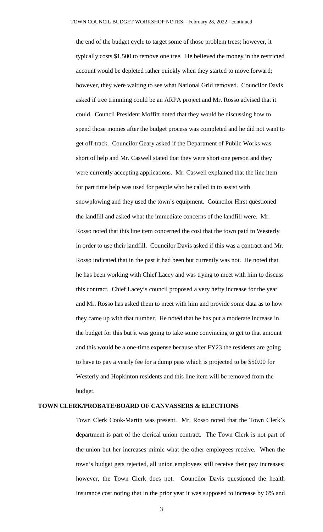the end of the budget cycle to target some of those problem trees; however, it typically costs \$1,500 to remove one tree. He believed the money in the restricted account would be depleted rather quickly when they started to move forward; however, they were waiting to see what National Grid removed. Councilor Davis asked if tree trimming could be an ARPA project and Mr. Rosso advised that it could. Council President Moffitt noted that they would be discussing how to spend those monies after the budget process was completed and he did not want to get off-track. Councilor Geary asked if the Department of Public Works was short of help and Mr. Caswell stated that they were short one person and they were currently accepting applications. Mr. Caswell explained that the line item for part time help was used for people who he called in to assist with snowplowing and they used the town's equipment. Councilor Hirst questioned the landfill and asked what the immediate concerns of the landfill were. Mr. Rosso noted that this line item concerned the cost that the town paid to Westerly in order to use their landfill. Councilor Davis asked if this was a contract and Mr. Rosso indicated that in the past it had been but currently was not. He noted that he has been working with Chief Lacey and was trying to meet with him to discuss this contract. Chief Lacey's council proposed a very hefty increase for the year and Mr. Rosso has asked them to meet with him and provide some data as to how they came up with that number. He noted that he has put a moderate increase in the budget for this but it was going to take some convincing to get to that amount and this would be a one-time expense because after FY23 the residents are going to have to pay a yearly fee for a dump pass which is projected to be \$50.00 for Westerly and Hopkinton residents and this line item will be removed from the budget.

### **TOWN CLERK/PROBATE/BOARD OF CANVASSERS & ELECTIONS**

Town Clerk Cook-Martin was present. Mr. Rosso noted that the Town Clerk's department is part of the clerical union contract. The Town Clerk is not part of the union but her increases mimic what the other employees receive. When the town's budget gets rejected, all union employees still receive their pay increases; however, the Town Clerk does not. Councilor Davis questioned the health insurance cost noting that in the prior year it was supposed to increase by 6% and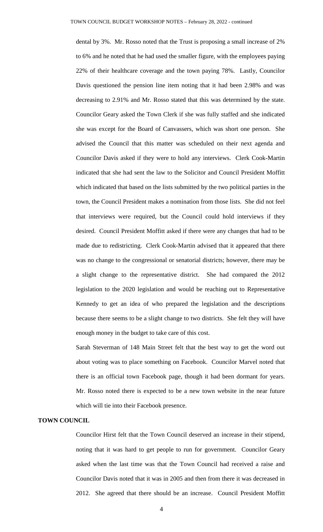dental by 3%. Mr. Rosso noted that the Trust is proposing a small increase of 2% to 6% and he noted that he had used the smaller figure, with the employees paying 22% of their healthcare coverage and the town paying 78%. Lastly, Councilor Davis questioned the pension line item noting that it had been 2.98% and was decreasing to 2.91% and Mr. Rosso stated that this was determined by the state. Councilor Geary asked the Town Clerk if she was fully staffed and she indicated she was except for the Board of Canvassers, which was short one person. She advised the Council that this matter was scheduled on their next agenda and Councilor Davis asked if they were to hold any interviews. Clerk Cook-Martin indicated that she had sent the law to the Solicitor and Council President Moffitt which indicated that based on the lists submitted by the two political parties in the town, the Council President makes a nomination from those lists. She did not feel that interviews were required, but the Council could hold interviews if they desired. Council President Moffitt asked if there were any changes that had to be made due to redistricting. Clerk Cook-Martin advised that it appeared that there was no change to the congressional or senatorial districts; however, there may be a slight change to the representative district. She had compared the 2012 legislation to the 2020 legislation and would be reaching out to Representative Kennedy to get an idea of who prepared the legislation and the descriptions because there seems to be a slight change to two districts. She felt they will have enough money in the budget to take care of this cost.

Sarah Steverman of 148 Main Street felt that the best way to get the word out about voting was to place something on Facebook. Councilor Marvel noted that there is an official town Facebook page, though it had been dormant for years. Mr. Rosso noted there is expected to be a new town website in the near future which will tie into their Facebook presence.

## **TOWN COUNCIL**

Councilor Hirst felt that the Town Council deserved an increase in their stipend, noting that it was hard to get people to run for government. Councilor Geary asked when the last time was that the Town Council had received a raise and Councilor Davis noted that it was in 2005 and then from there it was decreased in 2012. She agreed that there should be an increase. Council President Moffitt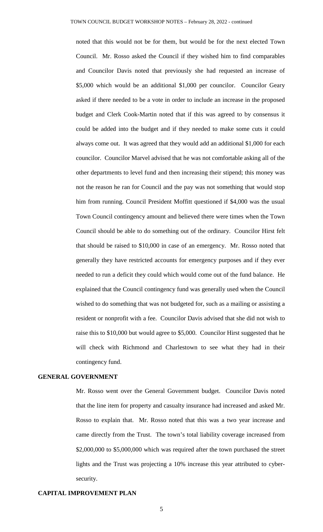noted that this would not be for them, but would be for the next elected Town Council. Mr. Rosso asked the Council if they wished him to find comparables and Councilor Davis noted that previously she had requested an increase of \$5,000 which would be an additional \$1,000 per councilor. Councilor Geary asked if there needed to be a vote in order to include an increase in the proposed budget and Clerk Cook-Martin noted that if this was agreed to by consensus it could be added into the budget and if they needed to make some cuts it could always come out. It was agreed that they would add an additional \$1,000 for each councilor. Councilor Marvel advised that he was not comfortable asking all of the other departments to level fund and then increasing their stipend; this money was not the reason he ran for Council and the pay was not something that would stop him from running. Council President Moffitt questioned if \$4,000 was the usual Town Council contingency amount and believed there were times when the Town Council should be able to do something out of the ordinary. Councilor Hirst felt that should be raised to \$10,000 in case of an emergency. Mr. Rosso noted that generally they have restricted accounts for emergency purposes and if they ever needed to run a deficit they could which would come out of the fund balance. He explained that the Council contingency fund was generally used when the Council wished to do something that was not budgeted for, such as a mailing or assisting a resident or nonprofit with a fee. Councilor Davis advised that she did not wish to raise this to \$10,000 but would agree to \$5,000. Councilor Hirst suggested that he will check with Richmond and Charlestown to see what they had in their contingency fund.

## **GENERAL GOVERNMENT**

Mr. Rosso went over the General Government budget. Councilor Davis noted that the line item for property and casualty insurance had increased and asked Mr. Rosso to explain that. Mr. Rosso noted that this was a two year increase and came directly from the Trust. The town's total liability coverage increased from \$2,000,000 to \$5,000,000 which was required after the town purchased the street lights and the Trust was projecting a 10% increase this year attributed to cybersecurity.

# **CAPITAL IMPROVEMENT PLAN**